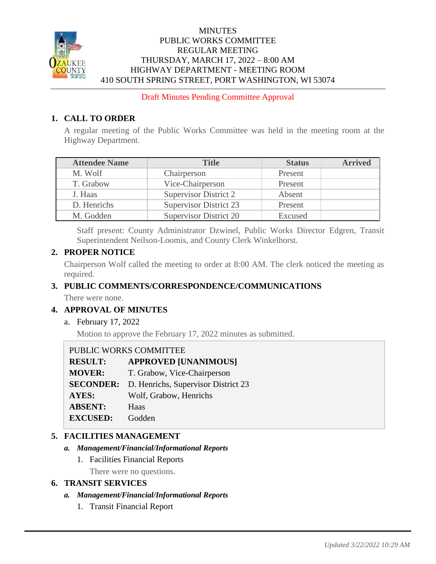

## **MINUTES** PUBLIC WORKS COMMITTEE REGULAR MEETING THURSDAY, MARCH 17, 2022 – 8:00 AM HIGHWAY DEPARTMENT - MEETING ROOM 410 SOUTH SPRING STREET, PORT WASHINGTON, WI 53074

Draft Minutes Pending Committee Approval

# **1. CALL TO ORDER**

A regular meeting of the Public Works Committee was held in the meeting room at the Highway Department.

| <b>Attendee Name</b> | <b>Title</b>                  | <b>Status</b> | <b>Arrived</b> |
|----------------------|-------------------------------|---------------|----------------|
| M. Wolf              | Chairperson                   | Present       |                |
| T. Grabow            | Vice-Chairperson              | Present       |                |
| J. Haas              | Supervisor District 2         | Absent        |                |
| D. Henrichs          | <b>Supervisor District 23</b> | Present       |                |
| M. Godden            | Supervisor District 20        | Excused       |                |

Staff present: County Administrator Dzwinel, Public Works Director Edgren, Transit Superintendent Neilson-Loomis, and County Clerk Winkelhorst.

## **2. PROPER NOTICE**

Chairperson Wolf called the meeting to order at 8:00 AM. The clerk noticed the meeting as required.

## **3. PUBLIC COMMENTS/CORRESPONDENCE/COMMUNICATIONS**

There were none.

# **4. APPROVAL OF MINUTES**

a. February 17, 2022

Motion to approve the February 17, 2022 minutes as submitted.

## PUBLIC WORKS COMMITTEE

| <b>RESULT:</b>   | <b>APPROVED [UNANIMOUS]</b>         |
|------------------|-------------------------------------|
| <b>MOVER:</b>    | T. Grabow, Vice-Chairperson         |
| <b>SECONDER:</b> | D. Henrichs, Supervisor District 23 |
| <b>AYES:</b>     | Wolf, Grabow, Henrichs              |
| <b>ABSENT:</b>   | Haas                                |
| <b>EXCUSED:</b>  | Godden                              |

## **5. FACILITIES MANAGEMENT**

#### *a. Management/Financial/Informational Reports*

1. Facilities Financial Reports

There were no questions.

## **6. TRANSIT SERVICES**

#### *a. Management/Financial/Informational Reports*

1. Transit Financial Report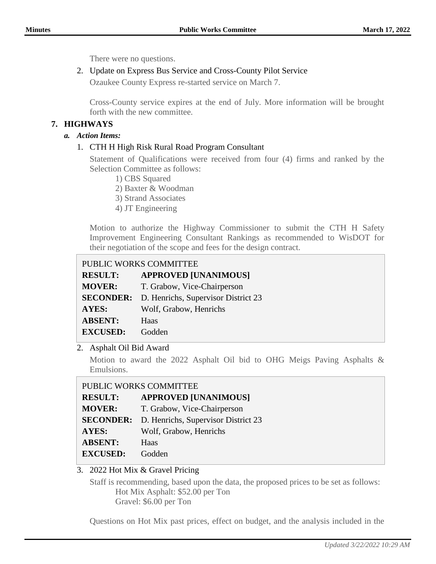There were no questions.

## 2. Update on Express Bus Service and Cross-County Pilot Service

Ozaukee County Express re-started service on March 7.

Cross-County service expires at the end of July. More information will be brought forth with the new committee.

## **7. HIGHWAYS**

#### *a. Action Items:*

## 1. CTH H High Risk Rural Road Program Consultant

Statement of Qualifications were received from four (4) firms and ranked by the Selection Committee as follows:

- 1) CBS Squared
- 2) Baxter & Woodman
- 3) Strand Associates
- 4) JT Engineering

Motion to authorize the Highway Commissioner to submit the CTH H Safety Improvement Engineering Consultant Rankings as recommended to WisDOT for their negotiation of the scope and fees for the design contract.

| PUBLIC WORKS COMMITTEE |                                                      |  |
|------------------------|------------------------------------------------------|--|
| <b>RESULT:</b>         | <b>APPROVED [UNANIMOUS]</b>                          |  |
| <b>MOVER:</b>          | T. Grabow, Vice-Chairperson                          |  |
|                        | <b>SECONDER:</b> D. Henrichs, Supervisor District 23 |  |
| <b>AYES:</b>           | Wolf, Grabow, Henrichs                               |  |
| <b>ABSENT:</b>         | Haas                                                 |  |
| <b>EXCUSED:</b>        | Godden                                               |  |

2. Asphalt Oil Bid Award

Motion to award the 2022 Asphalt Oil bid to OHG Meigs Paving Asphalts & Emulsions.

| PUBLIC WORKS COMMITTEE |                                     |  |
|------------------------|-------------------------------------|--|
| <b>RESULT:</b>         | <b>APPROVED [UNANIMOUS]</b>         |  |
| <b>MOVER:</b>          | T. Grabow, Vice-Chairperson         |  |
| <b>SECONDER:</b>       | D. Henrichs, Supervisor District 23 |  |
| <b>AYES:</b>           | Wolf, Grabow, Henrichs              |  |
| <b>ABSENT:</b>         | Haas                                |  |
| <b>EXCUSED:</b>        | Godden                              |  |

# 3. 2022 Hot Mix & Gravel Pricing

Staff is recommending, based upon the data, the proposed prices to be set as follows: Hot Mix Asphalt: \$52.00 per Ton Gravel: \$6.00 per Ton

Questions on Hot Mix past prices, effect on budget, and the analysis included in the